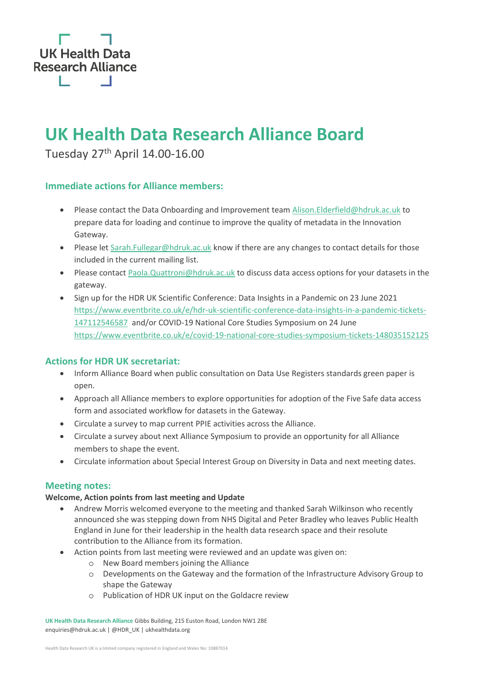

# **UK Health Data Research Alliance Board**

Tuesday 27th April 14.00-16.00

# **Immediate actions for Alliance members:**

- Please contact the Data Onboarding and Improvement team [Alison.Elderfield@hdruk.ac.uk](mailto:Alison.Elderfield@hdruk.ac.uk) to prepare data for loading and continue to improve the quality of metadata in the Innovation Gateway.
- Please let [Sarah.Fullegar@hdruk.ac.uk](mailto:Sarah.Fullegar@hdruk.ac.uk) know if there are any changes to contact details for those included in the current mailing list.
- Please contact [Paola.Quattroni@hdruk.ac.uk](mailto:Paola.Quattroni@hdruk.ac.uk) to discuss data access options for your datasets in the gateway.
- Sign up for the HDR UK Scientific Conference: Data Insights in a Pandemic on 23 June 2021 [https://www.eventbrite.co.uk/e/hdr-uk-scientific-conference-data-insights-in-a-pandemic-tickets-](https://www.eventbrite.co.uk/e/hdr-uk-scientific-conference-data-insights-in-a-pandemic-tickets-147112546587)[147112546587](https://www.eventbrite.co.uk/e/hdr-uk-scientific-conference-data-insights-in-a-pandemic-tickets-147112546587) and/or COVID-19 National Core Studies Symposium on 24 June <https://www.eventbrite.co.uk/e/covid-19-national-core-studies-symposium-tickets-148035152125>

# **Actions for HDR UK secretariat:**

- Inform Alliance Board when public consultation on Data Use Registers standards green paper is open.
- Approach all Alliance members to explore opportunities for adoption of the Five Safe data access form and associated workflow for datasets in the Gateway.
- Circulate a survey to map current PPIE activities across the Alliance.
- Circulate a survey about next Alliance Symposium to provide an opportunity for all Alliance members to shape the event.
- Circulate information about Special Interest Group on Diversity in Data and next meeting dates.

# **Meeting notes:**

### **Welcome, Action points from last meeting and Update**

- Andrew Morris welcomed everyone to the meeting and thanked Sarah Wilkinson who recently announced she was stepping down from NHS Digital and Peter Bradley who leaves Public Health England in June for their leadership in the health data research space and their resolute contribution to the Alliance from its formation.
- Action points from last meeting were reviewed and an update was given on:
	- o New Board members joining the Alliance
	- o Developments on the Gateway and the formation of the Infrastructure Advisory Group to shape the Gateway
	- o Publication of HDR UK input on the Goldacre review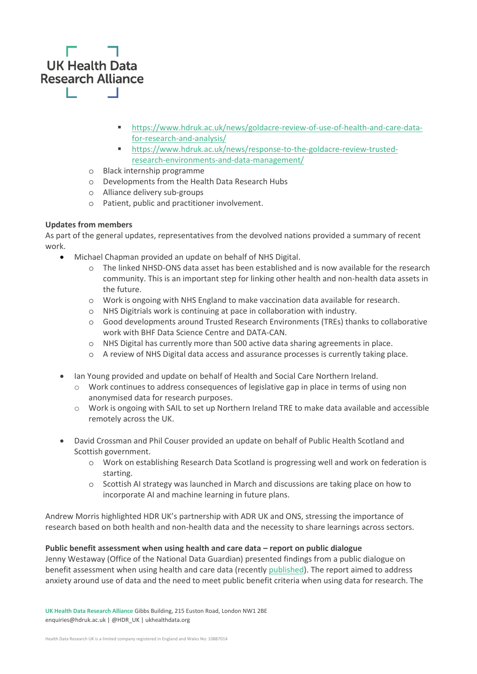

- [https://www.hdruk.ac.uk/news/goldacre-review-of-use-of-health-and-care-data](https://www.hdruk.ac.uk/news/goldacre-review-of-use-of-health-and-care-data-for-research-and-analysis/)[for-research-and-analysis/](https://www.hdruk.ac.uk/news/goldacre-review-of-use-of-health-and-care-data-for-research-and-analysis/)
- [https://www.hdruk.ac.uk/news/response-to-the-goldacre-review-trusted](https://www.hdruk.ac.uk/news/response-to-the-goldacre-review-trusted-research-environments-and-data-management/)[research-environments-and-data-management/](https://www.hdruk.ac.uk/news/response-to-the-goldacre-review-trusted-research-environments-and-data-management/)
- o Black internship programme
- o Developments from the Health Data Research Hubs
- o Alliance delivery sub-groups
- o Patient, public and practitioner involvement.

# **Updates from members**

As part of the general updates, representatives from the devolved nations provided a summary of recent work.

- Michael Chapman provided an update on behalf of NHS Digital.
	- o The linked NHSD-ONS data asset has been established and is now available for the research community. This is an important step for linking other health and non-health data assets in the future.
	- o Work is ongoing with NHS England to make vaccination data available for research.
	- o NHS Digitrials work is continuing at pace in collaboration with industry.
	- o Good developments around Trusted Research Environments (TREs) thanks to collaborative work with BHF Data Science Centre and DATA-CAN.
	- o NHS Digital has currently more than 500 active data sharing agreements in place.
	- o A review of NHS Digital data access and assurance processes is currently taking place.
- Ian Young provided and update on behalf of Health and Social Care Northern Ireland.
	- o Work continues to address consequences of legislative gap in place in terms of using non anonymised data for research purposes.
	- $\circ$  Work is ongoing with SAIL to set up Northern Ireland TRE to make data available and accessible remotely across the UK.
- David Crossman and Phil Couser provided an update on behalf of Public Health Scotland and Scottish government.
	- o Work on establishing Research Data Scotland is progressing well and work on federation is starting.
	- o Scottish AI strategy was launched in March and discussions are taking place on how to incorporate AI and machine learning in future plans.

Andrew Morris highlighted HDR UK's partnership with ADR UK and ONS, stressing the importance of research based on both health and non-health data and the necessity to share learnings across sectors.

### **Public benefit assessment when using health and care data – report on public dialogue**

Jenny Westaway (Office of the National Data Guardian) presented findings from a public dialogue on benefit assessment when using health and care data (recentl[y published\)](https://www.gov.uk/government/publications/putting-good-into-practice-a-public-dialogue-on-making-public-benefit-assessments-when-using-health-and-care-data). The report aimed to address anxiety around use of data and the need to meet public benefit criteria when using data for research. The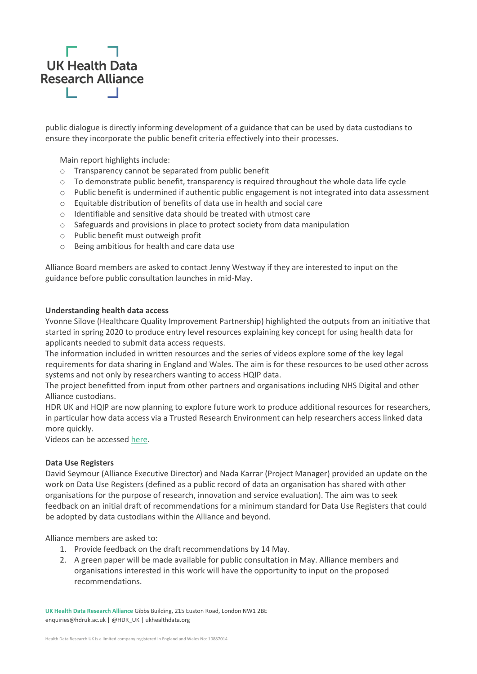

public dialogue is directly informing development of a guidance that can be used by data custodians to ensure they incorporate the public benefit criteria effectively into their processes.

Main report highlights include:

- o Transparency cannot be separated from public benefit
- $\circ$  To demonstrate public benefit, transparency is required throughout the whole data life cycle
- o Public benefit is undermined if authentic public engagement is not integrated into data assessment
- o Equitable distribution of benefits of data use in health and social care
- o Identifiable and sensitive data should be treated with utmost care
- $\circ$  Safeguards and provisions in place to protect society from data manipulation
- o Public benefit must outweigh profit
- o Being ambitious for health and care data use

Alliance Board members are asked to contact Jenny Westway if they are interested to input on the guidance before public consultation launches in mid-May.

#### **Understanding health data access**

Yvonne Silove (Healthcare Quality Improvement Partnership) highlighted the outputs from an initiative that started in spring 2020 to produce entry level resources explaining key concept for using health data for applicants needed to submit data access requests.

The information included in written resources and the series of videos explore some of the key legal requirements for data sharing in England and Wales. The aim is for these resources to be used other across systems and not only by researchers wanting to access HQIP data.

The project benefitted from input from other partners and organisations including NHS Digital and other Alliance custodians.

HDR UK and HQIP are now planning to explore future work to produce additional resources for researchers, in particular how data access via a Trusted Research Environment can help researchers access linked data more quickly.

Videos can be accesse[d here.](https://www.hqip.org.uk/understanding-health-data-access/#.YJIx7LVKg2w)

#### **Data Use Registers**

David Seymour (Alliance Executive Director) and Nada Karrar (Project Manager) provided an update on the work on Data Use Registers (defined as a public record of data an organisation has shared with other organisations for the purpose of research, innovation and service evaluation). The aim was to seek feedback on an initial draft of recommendations for a minimum standard for Data Use Registers that could be adopted by data custodians within the Alliance and beyond.

Alliance members are asked to:

- 1. Provide feedback on the draft recommendations by 14 May.
- 2. A green paper will be made available for public consultation in May. Alliance members and organisations interested in this work will have the opportunity to input on the proposed recommendations.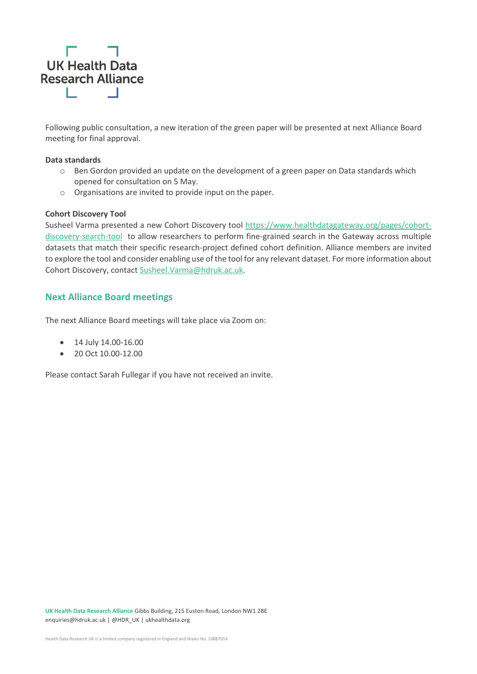

Following public consultation, a new iteration of the green paper will be presented at next Alliance Board meeting for final approval.

#### **Data standards**

- $\circ$  Ben Gordon provided an update on the development of a green paper on Data standards which opened for consultation on 5 May.
- o Organisations are invited to provide input on the paper.

#### **Cohort Discovery Tool**

Susheel Varma presented a new Cohort Discovery tool [https://www.healthdatagateway.org/pages/cohort](https://www.healthdatagateway.org/pages/cohort-discovery-search-tool)[discovery-search-tool](https://www.healthdatagateway.org/pages/cohort-discovery-search-tool) to allow researchers to perform fine-grained search in the Gateway across multiple datasets that match their specific research-project defined cohort definition. Alliance members are invited to explore the tool and consider enabling use of the tool for any relevant dataset. For more information about Cohort Discovery, contact [Susheel.Varma@hdruk.ac.uk.](mailto:Susheel.Varma@hdruk.ac.uk)

# **Next Alliance Board meetings**

The next Alliance Board meetings will take place via Zoom on:

- 14 July 14.00-16.00
- 20 Oct 10.00-12.00

Please contact Sarah Fullegar if you have not received an invite.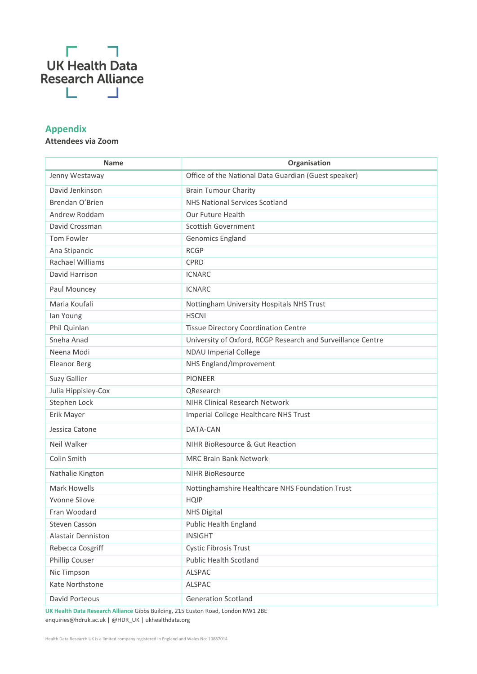

# **Appendix**

# **Attendees via Zoom**

| <b>Name</b>         | Organisation                                                |
|---------------------|-------------------------------------------------------------|
| Jenny Westaway      | Office of the National Data Guardian (Guest speaker)        |
| David Jenkinson     | <b>Brain Tumour Charity</b>                                 |
| Brendan O'Brien     | <b>NHS National Services Scotland</b>                       |
| Andrew Roddam       | Our Future Health                                           |
| David Crossman      | <b>Scottish Government</b>                                  |
| Tom Fowler          | Genomics England                                            |
| Ana Stipancic       | <b>RCGP</b>                                                 |
| Rachael Williams    | <b>CPRD</b>                                                 |
| David Harrison      | <b>ICNARC</b>                                               |
| Paul Mouncey        | <b>ICNARC</b>                                               |
| Maria Koufali       | Nottingham University Hospitals NHS Trust                   |
| lan Young           | <b>HSCNI</b>                                                |
| Phil Quinlan        | <b>Tissue Directory Coordination Centre</b>                 |
| Sneha Anad          | University of Oxford, RCGP Research and Surveillance Centre |
| Neena Modi          | <b>NDAU Imperial College</b>                                |
| <b>Eleanor Berg</b> | NHS England/Improvement                                     |
| Suzy Gallier        | <b>PIONEER</b>                                              |
| Julia Hippisley-Cox | QResearch                                                   |
| Stephen Lock        | <b>NIHR Clinical Research Network</b>                       |
| Erik Mayer          | Imperial College Healthcare NHS Trust                       |
| Jessica Catone      | DATA-CAN                                                    |
| Neil Walker         | NIHR BioResource & Gut Reaction                             |
| Colin Smith         | <b>MRC Brain Bank Network</b>                               |
| Nathalie Kington    | <b>NIHR BioResource</b>                                     |
| Mark Howells        | Nottinghamshire Healthcare NHS Foundation Trust             |
| Yvonne Silove       | <b>HQIP</b>                                                 |
| Fran Woodard        | <b>NHS Digital</b>                                          |
| Steven Casson       | Public Health England                                       |
| Alastair Denniston  | <b>INSIGHT</b>                                              |
| Rebecca Cosgriff    | <b>Cystic Fibrosis Trust</b>                                |
| Phillip Couser      | <b>Public Health Scotland</b>                               |
| Nic Timpson         | <b>ALSPAC</b>                                               |
| Kate Northstone     | ALSPAC                                                      |
| David Porteous      | <b>Generation Scotland</b>                                  |